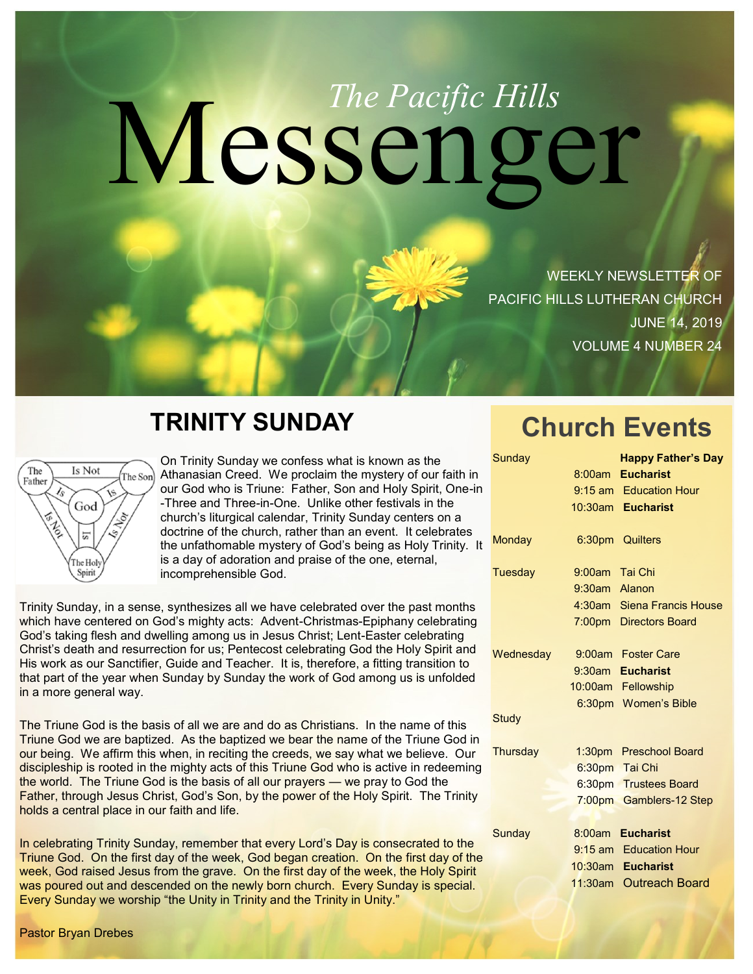# Messenger *The Pacific Hills*

WEEKLY NEWSLETTER OF PACIFIC HILLS LUTHERAN CHURCH JUNE 14, 2019 VOLUME 4 NUMBER 24

## **TRINITY SUNDAY**



On Trinity Sunday we confess what is known as the Athanasian Creed. We proclaim the mystery of our faith in our God who is Triune: Father, Son and Holy Spirit, One-in -Three and Three-in-One. Unlike other festivals in the church's liturgical calendar, Trinity Sunday centers on a doctrine of the church, rather than an event. It celebrates the unfathomable mystery of God's being as Holy Trinity. It is a day of adoration and praise of the one, eternal, incomprehensible God.

Trinity Sunday, in a sense, synthesizes all we have celebrated over the past months which have centered on God's mighty acts: Advent-Christmas-Epiphany celebrating God's taking flesh and dwelling among us in Jesus Christ; Lent-Easter celebrating Christ's death and resurrection for us; Pentecost celebrating God the Holy Spirit and His work as our Sanctifier, Guide and Teacher. It is, therefore, a fitting transition to that part of the year when Sunday by Sunday the work of God among us is unfolded in a more general way.

The Triune God is the basis of all we are and do as Christians. In the name of this Triune God we are baptized. As the baptized we bear the name of the Triune God in our being. We affirm this when, in reciting the creeds, we say what we believe. Our discipleship is rooted in the mighty acts of this Triune God who is active in redeeming the world. The Triune God is the basis of all our prayers — we pray to God the Father, through Jesus Christ, God's Son, by the power of the Holy Spirit. The Trinity holds a central place in our faith and life.

In celebrating Trinity Sunday, remember that every Lord's Day is consecrated to the Triune God. On the first day of the week, God began creation. On the first day of the week, God raised Jesus from the grave. On the first day of the week, the Holy Spirit was poured out and descended on the newly born church. Every Sunday is special. Every Sunday we worship "the Unity in Trinity and the Trinity in Unity."

# **Church Events**

| Sunday       |                | <b>Happy Father's Day</b>  |
|--------------|----------------|----------------------------|
|              |                | 8:00am Eucharist           |
|              |                | 9:15 am Education Hour     |
|              |                | 10:30am Eucharist          |
| Monday       |                | 6:30pm Quilters            |
| Tuesday      | 9:00am Tai Chi |                            |
|              | 9:30am Alanon  |                            |
|              |                | 4:30am Siena Francis House |
|              |                | 7:00pm Directors Board     |
| Wednesday    |                | 9:00am Foster Care         |
|              |                | 9:30am Eucharist           |
|              |                | 10:00am Fellowship         |
|              |                | 6:30pm Women's Bible       |
| <b>Study</b> |                |                            |
| Thursday     |                | 1:30pm Preschool Board     |
|              |                | 6:30pm Tai Chi             |
|              |                | 6:30pm Trustees Board      |
|              |                | 7:00pm Gamblers-12 Step    |
|              |                |                            |
| Sunday       |                | 8:00am Eucharist           |
|              |                | 9:15 am Education Hour     |
|              |                | 10:30am Eucharist          |
|              |                | 11:30am Outreach Board     |
|              |                |                            |